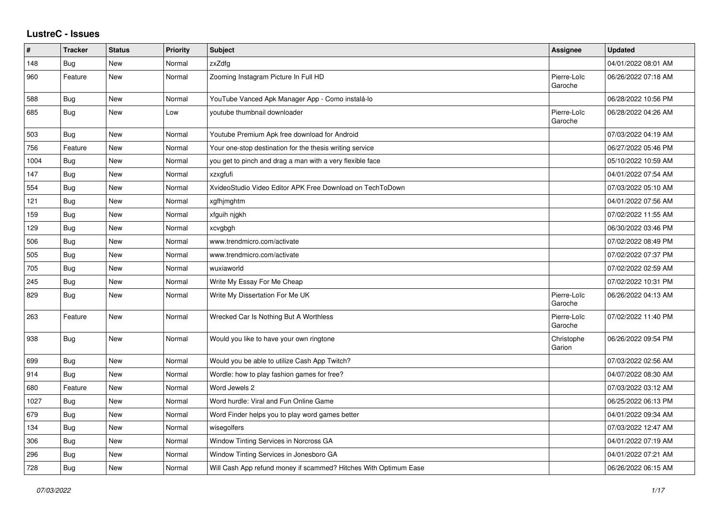## **LustreC - Issues**

| #    | <b>Tracker</b> | <b>Status</b> | <b>Priority</b> | <b>Subject</b>                                                   | Assignee               | <b>Updated</b>      |
|------|----------------|---------------|-----------------|------------------------------------------------------------------|------------------------|---------------------|
| 148  | <b>Bug</b>     | New           | Normal          | zxZdfg                                                           |                        | 04/01/2022 08:01 AM |
| 960  | Feature        | New           | Normal          | Zooming Instagram Picture In Full HD                             | Pierre-Loïc<br>Garoche | 06/26/2022 07:18 AM |
| 588  | Bug            | New           | Normal          | YouTube Vanced Apk Manager App - Como instalá-lo                 |                        | 06/28/2022 10:56 PM |
| 685  | Bug            | <b>New</b>    | Low             | youtube thumbnail downloader                                     | Pierre-Loïc<br>Garoche | 06/28/2022 04:26 AM |
| 503  | Bug            | <b>New</b>    | Normal          | Youtube Premium Apk free download for Android                    |                        | 07/03/2022 04:19 AM |
| 756  | Feature        | New           | Normal          | Your one-stop destination for the thesis writing service         |                        | 06/27/2022 05:46 PM |
| 1004 | Bug            | New           | Normal          | you get to pinch and drag a man with a very flexible face        |                        | 05/10/2022 10:59 AM |
| 147  | <b>Bug</b>     | <b>New</b>    | Normal          | xzxgfufi                                                         |                        | 04/01/2022 07:54 AM |
| 554  | Bug            | New           | Normal          | XvideoStudio Video Editor APK Free Download on TechToDown        |                        | 07/03/2022 05:10 AM |
| 121  | Bug            | New           | Normal          | xgfhjmghtm                                                       |                        | 04/01/2022 07:56 AM |
| 159  | Bug            | <b>New</b>    | Normal          | xfguih njgkh                                                     |                        | 07/02/2022 11:55 AM |
| 129  | Bug            | New           | Normal          | xcvgbgh                                                          |                        | 06/30/2022 03:46 PM |
| 506  | Bug            | New           | Normal          | www.trendmicro.com/activate                                      |                        | 07/02/2022 08:49 PM |
| 505  | <b>Bug</b>     | <b>New</b>    | Normal          | www.trendmicro.com/activate                                      |                        | 07/02/2022 07:37 PM |
| 705  | <b>Bug</b>     | New           | Normal          | wuxiaworld                                                       |                        | 07/02/2022 02:59 AM |
| 245  | <b>Bug</b>     | New           | Normal          | Write My Essay For Me Cheap                                      |                        | 07/02/2022 10:31 PM |
| 829  | <b>Bug</b>     | New           | Normal          | Write My Dissertation For Me UK                                  | Pierre-Loïc<br>Garoche | 06/26/2022 04:13 AM |
| 263  | Feature        | New           | Normal          | Wrecked Car Is Nothing But A Worthless                           | Pierre-Loïc<br>Garoche | 07/02/2022 11:40 PM |
| 938  | <b>Bug</b>     | New           | Normal          | Would you like to have your own ringtone                         | Christophe<br>Garion   | 06/26/2022 09:54 PM |
| 699  | Bug            | <b>New</b>    | Normal          | Would you be able to utilize Cash App Twitch?                    |                        | 07/03/2022 02:56 AM |
| 914  | <b>Bug</b>     | New           | Normal          | Wordle: how to play fashion games for free?                      |                        | 04/07/2022 08:30 AM |
| 680  | Feature        | New           | Normal          | Word Jewels 2                                                    |                        | 07/03/2022 03:12 AM |
| 1027 | Bug            | New           | Normal          | Word hurdle: Viral and Fun Online Game                           |                        | 06/25/2022 06:13 PM |
| 679  | <b>Bug</b>     | <b>New</b>    | Normal          | Word Finder helps you to play word games better                  |                        | 04/01/2022 09:34 AM |
| 134  | Bug            | New           | Normal          | wisegolfers                                                      |                        | 07/03/2022 12:47 AM |
| 306  | Bug            | <b>New</b>    | Normal          | Window Tinting Services in Norcross GA                           |                        | 04/01/2022 07:19 AM |
| 296  | Bug            | New           | Normal          | Window Tinting Services in Jonesboro GA                          |                        | 04/01/2022 07:21 AM |
| 728  | Bug            | New           | Normal          | Will Cash App refund money if scammed? Hitches With Optimum Ease |                        | 06/26/2022 06:15 AM |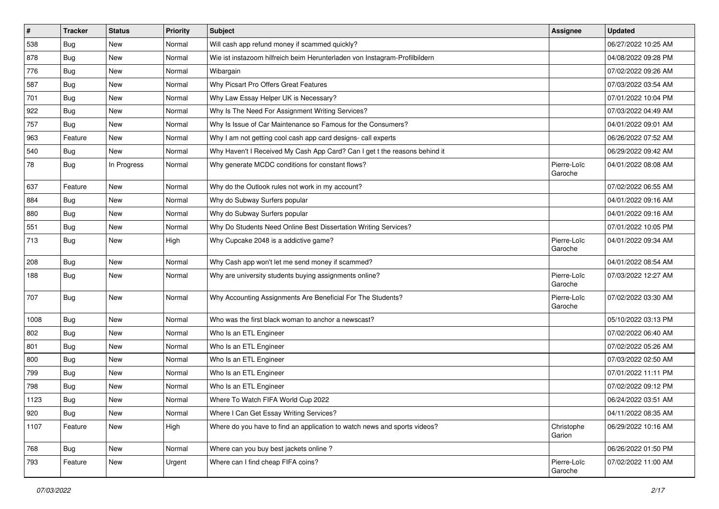| $\sharp$ | <b>Tracker</b> | <b>Status</b> | Priority | <b>Subject</b>                                                             | <b>Assignee</b>        | <b>Updated</b>      |
|----------|----------------|---------------|----------|----------------------------------------------------------------------------|------------------------|---------------------|
| 538      | <b>Bug</b>     | New           | Normal   | Will cash app refund money if scammed quickly?                             |                        | 06/27/2022 10:25 AM |
| 878      | Bug            | New           | Normal   | Wie ist instazoom hilfreich beim Herunterladen von Instagram-Profilbildern |                        | 04/08/2022 09:28 PM |
| 776      | Bug            | New           | Normal   | Wibargain                                                                  |                        | 07/02/2022 09:26 AM |
| 587      | Bug            | New           | Normal   | Why Picsart Pro Offers Great Features                                      |                        | 07/03/2022 03:54 AM |
| 701      | Bug            | New           | Normal   | Why Law Essay Helper UK is Necessary?                                      |                        | 07/01/2022 10:04 PM |
| 922      | Bug            | New           | Normal   | Why Is The Need For Assignment Writing Services?                           |                        | 07/03/2022 04:49 AM |
| 757      | Bug            | New           | Normal   | Why Is Issue of Car Maintenance so Famous for the Consumers?               |                        | 04/01/2022 09:01 AM |
| 963      | Feature        | New           | Normal   | Why I am not getting cool cash app card designs- call experts              |                        | 06/26/2022 07:52 AM |
| 540      | Bug            | <b>New</b>    | Normal   | Why Haven't I Received My Cash App Card? Can I get t the reasons behind it |                        | 06/29/2022 09:42 AM |
| 78       | Bug            | In Progress   | Normal   | Why generate MCDC conditions for constant flows?                           | Pierre-Loïc<br>Garoche | 04/01/2022 08:08 AM |
| 637      | Feature        | <b>New</b>    | Normal   | Why do the Outlook rules not work in my account?                           |                        | 07/02/2022 06:55 AM |
| 884      | Bug            | New           | Normal   | Why do Subway Surfers popular                                              |                        | 04/01/2022 09:16 AM |
| 880      | Bug            | New           | Normal   | Why do Subway Surfers popular                                              |                        | 04/01/2022 09:16 AM |
| 551      | Bug            | New           | Normal   | Why Do Students Need Online Best Dissertation Writing Services?            |                        | 07/01/2022 10:05 PM |
| 713      | Bug            | New           | High     | Why Cupcake 2048 is a addictive game?                                      | Pierre-Loïc<br>Garoche | 04/01/2022 09:34 AM |
| 208      | Bug            | New           | Normal   | Why Cash app won't let me send money if scammed?                           |                        | 04/01/2022 08:54 AM |
| 188      | Bug            | New           | Normal   | Why are university students buying assignments online?                     | Pierre-Loïc<br>Garoche | 07/03/2022 12:27 AM |
| 707      | Bug            | New           | Normal   | Why Accounting Assignments Are Beneficial For The Students?                | Pierre-Loïc<br>Garoche | 07/02/2022 03:30 AM |
| 1008     | Bug            | New           | Normal   | Who was the first black woman to anchor a newscast?                        |                        | 05/10/2022 03:13 PM |
| 802      | Bug            | <b>New</b>    | Normal   | Who Is an ETL Engineer                                                     |                        | 07/02/2022 06:40 AM |
| 801      | Bug            | New           | Normal   | Who Is an ETL Engineer                                                     |                        | 07/02/2022 05:26 AM |
| 800      | Bug            | <b>New</b>    | Normal   | Who Is an ETL Engineer                                                     |                        | 07/03/2022 02:50 AM |
| 799      | Bug            | New           | Normal   | Who Is an ETL Engineer                                                     |                        | 07/01/2022 11:11 PM |
| 798      | Bug            | New           | Normal   | Who Is an ETL Engineer                                                     |                        | 07/02/2022 09:12 PM |
| 1123     | Bug            | New           | Normal   | Where To Watch FIFA World Cup 2022                                         |                        | 06/24/2022 03:51 AM |
| 920      | Bug            | New           | Normal   | Where I Can Get Essay Writing Services?                                    |                        | 04/11/2022 08:35 AM |
| 1107     | Feature        | New           | High     | Where do you have to find an application to watch news and sports videos?  | Christophe<br>Garion   | 06/29/2022 10:16 AM |
| 768      | Bug            | New           | Normal   | Where can you buy best jackets online?                                     |                        | 06/26/2022 01:50 PM |
| 793      | Feature        | New           | Urgent   | Where can I find cheap FIFA coins?                                         | Pierre-Loïc<br>Garoche | 07/02/2022 11:00 AM |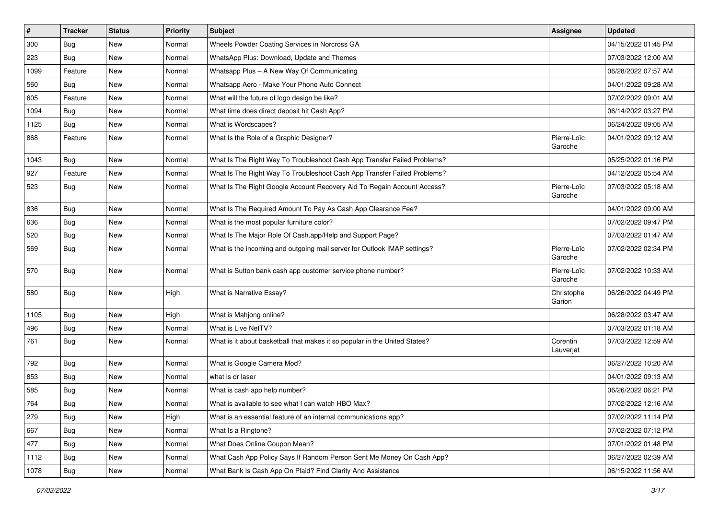| $\vert$ # | <b>Tracker</b> | <b>Status</b> | <b>Priority</b> | Subject                                                                    | <b>Assignee</b>        | <b>Updated</b>      |
|-----------|----------------|---------------|-----------------|----------------------------------------------------------------------------|------------------------|---------------------|
| 300       | Bug            | New           | Normal          | Wheels Powder Coating Services in Norcross GA                              |                        | 04/15/2022 01:45 PM |
| 223       | Bug            | New           | Normal          | WhatsApp Plus: Download, Update and Themes                                 |                        | 07/03/2022 12:00 AM |
| 1099      | Feature        | New           | Normal          | Whatsapp Plus - A New Way Of Communicating                                 |                        | 06/28/2022 07:57 AM |
| 560       | Bug            | New           | Normal          | Whatsapp Aero - Make Your Phone Auto Connect                               |                        | 04/01/2022 09:28 AM |
| 605       | Feature        | New           | Normal          | What will the future of logo design be like?                               |                        | 07/02/2022 09:01 AM |
| 1094      | Bug            | New           | Normal          | What time does direct deposit hit Cash App?                                |                        | 06/14/2022 03:27 PM |
| 1125      | Bug            | New           | Normal          | What is Wordscapes?                                                        |                        | 06/24/2022 09:05 AM |
| 868       | Feature        | New           | Normal          | What Is the Role of a Graphic Designer?                                    | Pierre-Loïc<br>Garoche | 04/01/2022 09:12 AM |
| 1043      | Bug            | New           | Normal          | What Is The Right Way To Troubleshoot Cash App Transfer Failed Problems?   |                        | 05/25/2022 01:16 PM |
| 927       | Feature        | New           | Normal          | What Is The Right Way To Troubleshoot Cash App Transfer Failed Problems?   |                        | 04/12/2022 05:54 AM |
| 523       | Bug            | New           | Normal          | What Is The Right Google Account Recovery Aid To Regain Account Access?    | Pierre-Loïc<br>Garoche | 07/03/2022 05:18 AM |
| 836       | <b>Bug</b>     | New           | Normal          | What Is The Required Amount To Pay As Cash App Clearance Fee?              |                        | 04/01/2022 09:00 AM |
| 636       | Bug            | New           | Normal          | What is the most popular furniture color?                                  |                        | 07/02/2022 09:47 PM |
| 520       | Bug            | New           | Normal          | What Is The Major Role Of Cash.app/Help and Support Page?                  |                        | 07/03/2022 01:47 AM |
| 569       | Bug            | New           | Normal          | What is the incoming and outgoing mail server for Outlook IMAP settings?   | Pierre-Loïc<br>Garoche | 07/02/2022 02:34 PM |
| 570       | Bug            | New           | Normal          | What is Sutton bank cash app customer service phone number?                | Pierre-Loïc<br>Garoche | 07/02/2022 10:33 AM |
| 580       | Bug            | New           | High            | What is Narrative Essay?                                                   | Christophe<br>Garion   | 06/26/2022 04:49 PM |
| 1105      | Bug            | New           | High            | What is Mahjong online?                                                    |                        | 06/28/2022 03:47 AM |
| 496       | <b>Bug</b>     | New           | Normal          | What is Live NetTV?                                                        |                        | 07/03/2022 01:18 AM |
| 761       | Bug            | New           | Normal          | What is it about basketball that makes it so popular in the United States? | Corentin<br>Lauverjat  | 07/03/2022 12:59 AM |
| 792       | Bug            | New           | Normal          | What is Google Camera Mod?                                                 |                        | 06/27/2022 10:20 AM |
| 853       | Bug            | New           | Normal          | what is dr laser                                                           |                        | 04/01/2022 09:13 AM |
| 585       | Bug            | <b>New</b>    | Normal          | What is cash app help number?                                              |                        | 06/26/2022 06:21 PM |
| 764       | Bug            | New           | Normal          | What is available to see what I can watch HBO Max?                         |                        | 07/02/2022 12:16 AM |
| 279       | Bug            | New           | High            | What is an essential feature of an internal communications app?            |                        | 07/02/2022 11:14 PM |
| 667       | Bug            | New           | Normal          | What Is a Ringtone?                                                        |                        | 07/02/2022 07:12 PM |
| 477       | Bug            | New           | Normal          | What Does Online Coupon Mean?                                              |                        | 07/01/2022 01:48 PM |
| 1112      | Bug            | New           | Normal          | What Cash App Policy Says If Random Person Sent Me Money On Cash App?      |                        | 06/27/2022 02:39 AM |
| 1078      | Bug            | New           | Normal          | What Bank Is Cash App On Plaid? Find Clarity And Assistance                |                        | 06/15/2022 11:56 AM |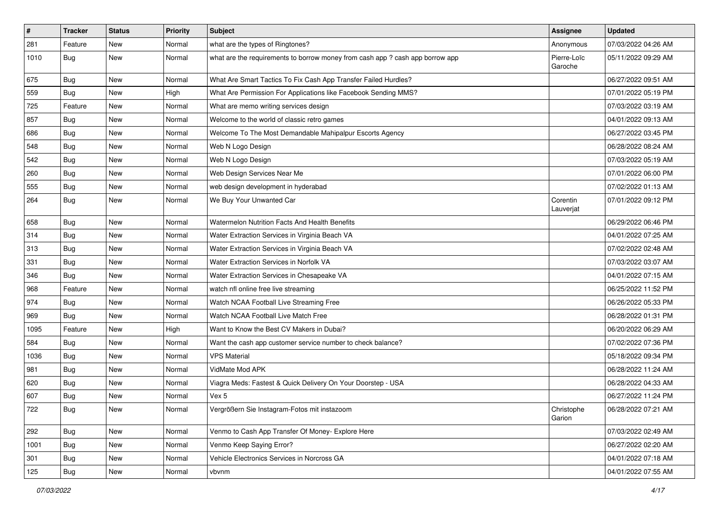| $\vert$ # | <b>Tracker</b> | <b>Status</b> | <b>Priority</b> | Subject                                                                       | <b>Assignee</b>        | <b>Updated</b>      |
|-----------|----------------|---------------|-----------------|-------------------------------------------------------------------------------|------------------------|---------------------|
| 281       | Feature        | New           | Normal          | what are the types of Ringtones?                                              | Anonymous              | 07/03/2022 04:26 AM |
| 1010      | Bug            | New           | Normal          | what are the requirements to borrow money from cash app ? cash app borrow app | Pierre-Loïc<br>Garoche | 05/11/2022 09:29 AM |
| 675       | Bug            | New           | Normal          | What Are Smart Tactics To Fix Cash App Transfer Failed Hurdles?               |                        | 06/27/2022 09:51 AM |
| 559       | Bug            | New           | High            | What Are Permission For Applications like Facebook Sending MMS?               |                        | 07/01/2022 05:19 PM |
| 725       | Feature        | New           | Normal          | What are memo writing services design                                         |                        | 07/03/2022 03:19 AM |
| 857       | Bug            | New           | Normal          | Welcome to the world of classic retro games                                   |                        | 04/01/2022 09:13 AM |
| 686       | Bug            | New           | Normal          | Welcome To The Most Demandable Mahipalpur Escorts Agency                      |                        | 06/27/2022 03:45 PM |
| 548       | Bug            | New           | Normal          | Web N Logo Design                                                             |                        | 06/28/2022 08:24 AM |
| 542       | Bug            | New           | Normal          | Web N Logo Design                                                             |                        | 07/03/2022 05:19 AM |
| 260       | Bug            | New           | Normal          | Web Design Services Near Me                                                   |                        | 07/01/2022 06:00 PM |
| 555       | <b>Bug</b>     | New           | Normal          | web design development in hyderabad                                           |                        | 07/02/2022 01:13 AM |
| 264       | Bug            | New           | Normal          | We Buy Your Unwanted Car                                                      | Corentin<br>Lauverjat  | 07/01/2022 09:12 PM |
| 658       | Bug            | New           | Normal          | Watermelon Nutrition Facts And Health Benefits                                |                        | 06/29/2022 06:46 PM |
| 314       | Bug            | <b>New</b>    | Normal          | Water Extraction Services in Virginia Beach VA                                |                        | 04/01/2022 07:25 AM |
| 313       | Bug            | New           | Normal          | Water Extraction Services in Virginia Beach VA                                |                        | 07/02/2022 02:48 AM |
| 331       | Bug            | <b>New</b>    | Normal          | Water Extraction Services in Norfolk VA                                       |                        | 07/03/2022 03:07 AM |
| 346       | Bug            | New           | Normal          | Water Extraction Services in Chesapeake VA                                    |                        | 04/01/2022 07:15 AM |
| 968       | Feature        | New           | Normal          | watch nfl online free live streaming                                          |                        | 06/25/2022 11:52 PM |
| 974       | Bug            | New           | Normal          | Watch NCAA Football Live Streaming Free                                       |                        | 06/26/2022 05:33 PM |
| 969       | Bug            | New           | Normal          | Watch NCAA Football Live Match Free                                           |                        | 06/28/2022 01:31 PM |
| 1095      | Feature        | <b>New</b>    | High            | Want to Know the Best CV Makers in Dubai?                                     |                        | 06/20/2022 06:29 AM |
| 584       | Bug            | New           | Normal          | Want the cash app customer service number to check balance?                   |                        | 07/02/2022 07:36 PM |
| 1036      | Bug            | New           | Normal          | <b>VPS Material</b>                                                           |                        | 05/18/2022 09:34 PM |
| 981       | Bug            | <b>New</b>    | Normal          | VidMate Mod APK                                                               |                        | 06/28/2022 11:24 AM |
| 620       | Bug            | New           | Normal          | Viagra Meds: Fastest & Quick Delivery On Your Doorstep - USA                  |                        | 06/28/2022 04:33 AM |
| 607       | Bug            | New           | Normal          | Vex 5                                                                         |                        | 06/27/2022 11:24 PM |
| 722       | Bug            | New           | Normal          | Vergrößern Sie Instagram-Fotos mit instazoom                                  | Christophe<br>Garion   | 06/28/2022 07:21 AM |
| 292       | <b>Bug</b>     | New           | Normal          | Venmo to Cash App Transfer Of Money- Explore Here                             |                        | 07/03/2022 02:49 AM |
| 1001      | Bug            | New           | Normal          | Venmo Keep Saying Error?                                                      |                        | 06/27/2022 02:20 AM |
| 301       | Bug            | New           | Normal          | Vehicle Electronics Services in Norcross GA                                   |                        | 04/01/2022 07:18 AM |
| 125       | <b>Bug</b>     | New           | Normal          | vbvnm                                                                         |                        | 04/01/2022 07:55 AM |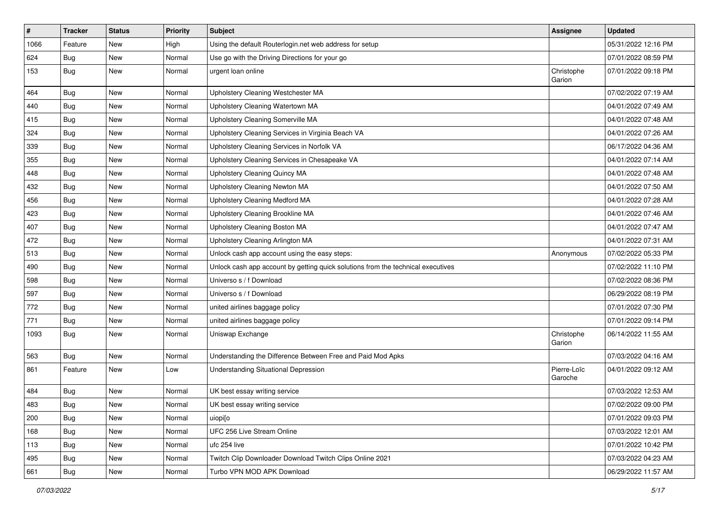| $\vert$ # | <b>Tracker</b> | <b>Status</b> | <b>Priority</b> | <b>Subject</b>                                                                   | Assignee               | <b>Updated</b>      |
|-----------|----------------|---------------|-----------------|----------------------------------------------------------------------------------|------------------------|---------------------|
| 1066      | Feature        | New           | High            | Using the default Routerlogin.net web address for setup                          |                        | 05/31/2022 12:16 PM |
| 624       | Bug            | New           | Normal          | Use go with the Driving Directions for your go                                   |                        | 07/01/2022 08:59 PM |
| 153       | Bug            | New           | Normal          | urgent loan online                                                               | Christophe<br>Garion   | 07/01/2022 09:18 PM |
| 464       | Bug            | New           | Normal          | Upholstery Cleaning Westchester MA                                               |                        | 07/02/2022 07:19 AM |
| 440       | Bug            | New           | Normal          | Upholstery Cleaning Watertown MA                                                 |                        | 04/01/2022 07:49 AM |
| 415       | Bug            | New           | Normal          | Upholstery Cleaning Somerville MA                                                |                        | 04/01/2022 07:48 AM |
| 324       | <b>Bug</b>     | New           | Normal          | Upholstery Cleaning Services in Virginia Beach VA                                |                        | 04/01/2022 07:26 AM |
| 339       | Bug            | New           | Normal          | Upholstery Cleaning Services in Norfolk VA                                       |                        | 06/17/2022 04:36 AM |
| 355       | Bug            | New           | Normal          | Upholstery Cleaning Services in Chesapeake VA                                    |                        | 04/01/2022 07:14 AM |
| 448       | Bug            | New           | Normal          | Upholstery Cleaning Quincy MA                                                    |                        | 04/01/2022 07:48 AM |
| 432       | Bug            | New           | Normal          | Upholstery Cleaning Newton MA                                                    |                        | 04/01/2022 07:50 AM |
| 456       | Bug            | New           | Normal          | Upholstery Cleaning Medford MA                                                   |                        | 04/01/2022 07:28 AM |
| 423       | Bug            | New           | Normal          | Upholstery Cleaning Brookline MA                                                 |                        | 04/01/2022 07:46 AM |
| 407       | Bug            | New           | Normal          | Upholstery Cleaning Boston MA                                                    |                        | 04/01/2022 07:47 AM |
| 472       | Bug            | New           | Normal          | Upholstery Cleaning Arlington MA                                                 |                        | 04/01/2022 07:31 AM |
| 513       | Bug            | New           | Normal          | Unlock cash app account using the easy steps:                                    | Anonymous              | 07/02/2022 05:33 PM |
| 490       | Bug            | New           | Normal          | Unlock cash app account by getting quick solutions from the technical executives |                        | 07/02/2022 11:10 PM |
| 598       | Bug            | New           | Normal          | Universo s / f Download                                                          |                        | 07/02/2022 08:36 PM |
| 597       | Bug            | New           | Normal          | Universo s / f Download                                                          |                        | 06/29/2022 08:19 PM |
| 772       | Bug            | New           | Normal          | united airlines baggage policy                                                   |                        | 07/01/2022 07:30 PM |
| 771       | Bug            | New           | Normal          | united airlines baggage policy                                                   |                        | 07/01/2022 09:14 PM |
| 1093      | Bug            | New           | Normal          | Uniswap Exchange                                                                 | Christophe<br>Garion   | 06/14/2022 11:55 AM |
| 563       | Bug            | New           | Normal          | Understanding the Difference Between Free and Paid Mod Apks                      |                        | 07/03/2022 04:16 AM |
| 861       | Feature        | New           | Low             | Understanding Situational Depression                                             | Pierre-Loïc<br>Garoche | 04/01/2022 09:12 AM |
| 484       | Bug            | New           | Normal          | UK best essay writing service                                                    |                        | 07/03/2022 12:53 AM |
| 483       | Bug            | New           | Normal          | UK best essay writing service                                                    |                        | 07/02/2022 09:00 PM |
| 200       | Bug            | New           | Normal          | uiopi[o                                                                          |                        | 07/01/2022 09:03 PM |
| 168       | Bug            | New           | Normal          | UFC 256 Live Stream Online                                                       |                        | 07/03/2022 12:01 AM |
| 113       | Bug            | New           | Normal          | ufc 254 live                                                                     |                        | 07/01/2022 10:42 PM |
| 495       | Bug            | New           | Normal          | Twitch Clip Downloader Download Twitch Clips Online 2021                         |                        | 07/03/2022 04:23 AM |
| 661       | <b>Bug</b>     | New           | Normal          | Turbo VPN MOD APK Download                                                       |                        | 06/29/2022 11:57 AM |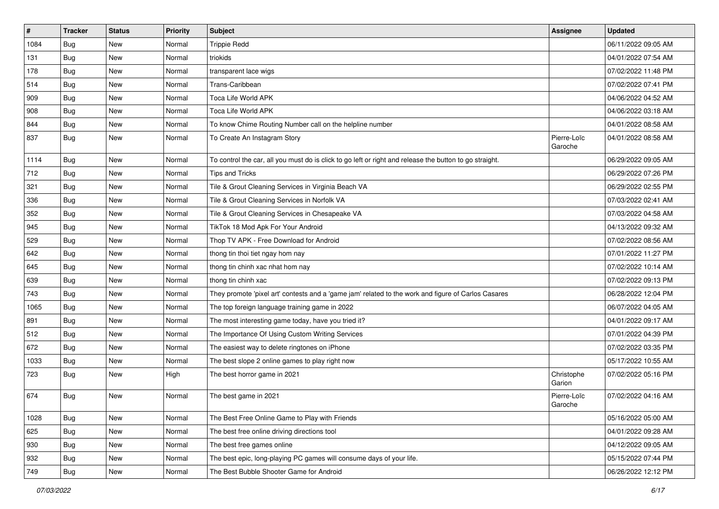| $\sharp$ | <b>Tracker</b> | <b>Status</b> | <b>Priority</b> | <b>Subject</b>                                                                                          | Assignee               | <b>Updated</b>      |
|----------|----------------|---------------|-----------------|---------------------------------------------------------------------------------------------------------|------------------------|---------------------|
| 1084     | <b>Bug</b>     | New           | Normal          | <b>Trippie Redd</b>                                                                                     |                        | 06/11/2022 09:05 AM |
| 131      | Bug            | New           | Normal          | triokids                                                                                                |                        | 04/01/2022 07:54 AM |
| 178      | Bug            | New           | Normal          | transparent lace wigs                                                                                   |                        | 07/02/2022 11:48 PM |
| 514      | <b>Bug</b>     | New           | Normal          | Trans-Caribbean                                                                                         |                        | 07/02/2022 07:41 PM |
| 909      | Bug            | New           | Normal          | Toca Life World APK                                                                                     |                        | 04/06/2022 04:52 AM |
| 908      | Bug            | New           | Normal          | Toca Life World APK                                                                                     |                        | 04/06/2022 03:18 AM |
| 844      | Bug            | New           | Normal          | To know Chime Routing Number call on the helpline number                                                |                        | 04/01/2022 08:58 AM |
| 837      | Bug            | New           | Normal          | To Create An Instagram Story                                                                            | Pierre-Loïc<br>Garoche | 04/01/2022 08:58 AM |
| 1114     | <b>Bug</b>     | <b>New</b>    | Normal          | To control the car, all you must do is click to go left or right and release the button to go straight. |                        | 06/29/2022 09:05 AM |
| 712      | Bug            | New           | Normal          | <b>Tips and Tricks</b>                                                                                  |                        | 06/29/2022 07:26 PM |
| 321      | <b>Bug</b>     | New           | Normal          | Tile & Grout Cleaning Services in Virginia Beach VA                                                     |                        | 06/29/2022 02:55 PM |
| 336      | Bug            | New           | Normal          | Tile & Grout Cleaning Services in Norfolk VA                                                            |                        | 07/03/2022 02:41 AM |
| 352      | <b>Bug</b>     | New           | Normal          | Tile & Grout Cleaning Services in Chesapeake VA                                                         |                        | 07/03/2022 04:58 AM |
| 945      | Bug            | New           | Normal          | TikTok 18 Mod Apk For Your Android                                                                      |                        | 04/13/2022 09:32 AM |
| 529      | Bug            | New           | Normal          | Thop TV APK - Free Download for Android                                                                 |                        | 07/02/2022 08:56 AM |
| 642      | <b>Bug</b>     | New           | Normal          | thong tin thoi tiet ngay hom nay                                                                        |                        | 07/01/2022 11:27 PM |
| 645      | Bug            | New           | Normal          | thong tin chinh xac nhat hom nay                                                                        |                        | 07/02/2022 10:14 AM |
| 639      | Bug            | New           | Normal          | thong tin chinh xac                                                                                     |                        | 07/02/2022 09:13 PM |
| 743      | Bug            | New           | Normal          | They promote 'pixel art' contests and a 'game jam' related to the work and figure of Carlos Casares     |                        | 06/28/2022 12:04 PM |
| 1065     | Bug            | New           | Normal          | The top foreign language training game in 2022                                                          |                        | 06/07/2022 04:05 AM |
| 891      | Bug            | New           | Normal          | The most interesting game today, have you tried it?                                                     |                        | 04/01/2022 09:17 AM |
| 512      | Bug            | New           | Normal          | The Importance Of Using Custom Writing Services                                                         |                        | 07/01/2022 04:39 PM |
| 672      | Bug            | New           | Normal          | The easiest way to delete ringtones on iPhone                                                           |                        | 07/02/2022 03:35 PM |
| 1033     | <b>Bug</b>     | New           | Normal          | The best slope 2 online games to play right now                                                         |                        | 05/17/2022 10:55 AM |
| 723      | Bug            | New           | High            | The best horror game in 2021                                                                            | Christophe<br>Garion   | 07/02/2022 05:16 PM |
| 674      | Bug            | New           | Normal          | The best game in 2021                                                                                   | Pierre-Loïc<br>Garoche | 07/02/2022 04:16 AM |
| 1028     | Bug            | New           | Normal          | The Best Free Online Game to Play with Friends                                                          |                        | 05/16/2022 05:00 AM |
| 625      | Bug            | New           | Normal          | The best free online driving directions tool                                                            |                        | 04/01/2022 09:28 AM |
| 930      | Bug            | New           | Normal          | The best free games online                                                                              |                        | 04/12/2022 09:05 AM |
| 932      | Bug            | New           | Normal          | The best epic, long-playing PC games will consume days of your life.                                    |                        | 05/15/2022 07:44 PM |
| 749      | <b>Bug</b>     | New           | Normal          | The Best Bubble Shooter Game for Android                                                                |                        | 06/26/2022 12:12 PM |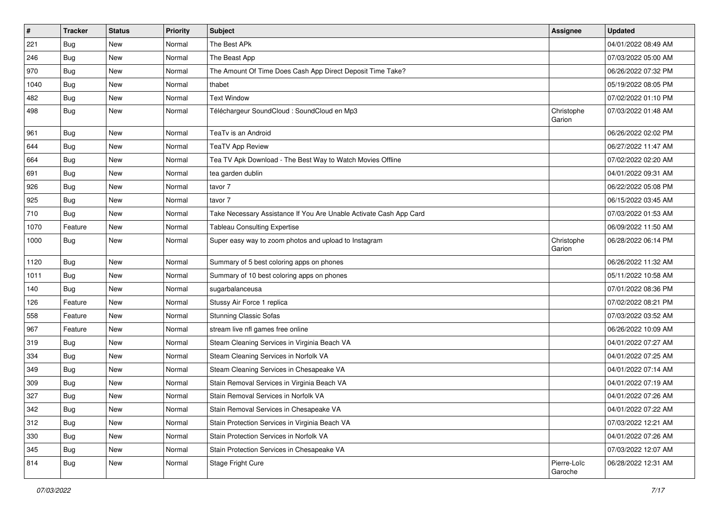| $\vert$ # | <b>Tracker</b> | <b>Status</b> | <b>Priority</b> | Subject                                                            | <b>Assignee</b>        | <b>Updated</b>      |
|-----------|----------------|---------------|-----------------|--------------------------------------------------------------------|------------------------|---------------------|
| 221       | Bug            | New           | Normal          | The Best APk                                                       |                        | 04/01/2022 08:49 AM |
| 246       | Bug            | New           | Normal          | The Beast App                                                      |                        | 07/03/2022 05:00 AM |
| 970       | Bug            | New           | Normal          | The Amount Of Time Does Cash App Direct Deposit Time Take?         |                        | 06/26/2022 07:32 PM |
| 1040      | Bug            | New           | Normal          | thabet                                                             |                        | 05/19/2022 08:05 PM |
| 482       | Bug            | <b>New</b>    | Normal          | <b>Text Window</b>                                                 |                        | 07/02/2022 01:10 PM |
| 498       | Bug            | New           | Normal          | Téléchargeur SoundCloud : SoundCloud en Mp3                        | Christophe<br>Garion   | 07/03/2022 01:48 AM |
| 961       | Bug            | New           | Normal          | TeaTv is an Android                                                |                        | 06/26/2022 02:02 PM |
| 644       | Bug            | New           | Normal          | <b>TeaTV App Review</b>                                            |                        | 06/27/2022 11:47 AM |
| 664       | Bug            | New           | Normal          | Tea TV Apk Download - The Best Way to Watch Movies Offline         |                        | 07/02/2022 02:20 AM |
| 691       | <b>Bug</b>     | New           | Normal          | tea garden dublin                                                  |                        | 04/01/2022 09:31 AM |
| 926       | Bug            | New           | Normal          | tavor 7                                                            |                        | 06/22/2022 05:08 PM |
| 925       | Bug            | New           | Normal          | tavor 7                                                            |                        | 06/15/2022 03:45 AM |
| 710       | Bug            | New           | Normal          | Take Necessary Assistance If You Are Unable Activate Cash App Card |                        | 07/03/2022 01:53 AM |
| 1070      | Feature        | New           | Normal          | <b>Tableau Consulting Expertise</b>                                |                        | 06/09/2022 11:50 AM |
| 1000      | Bug            | New           | Normal          | Super easy way to zoom photos and upload to Instagram              | Christophe<br>Garion   | 06/28/2022 06:14 PM |
| 1120      | Bug            | New           | Normal          | Summary of 5 best coloring apps on phones                          |                        | 06/26/2022 11:32 AM |
| 1011      | Bug            | New           | Normal          | Summary of 10 best coloring apps on phones                         |                        | 05/11/2022 10:58 AM |
| 140       | Bug            | New           | Normal          | sugarbalanceusa                                                    |                        | 07/01/2022 08:36 PM |
| 126       | Feature        | New           | Normal          | Stussy Air Force 1 replica                                         |                        | 07/02/2022 08:21 PM |
| 558       | Feature        | New           | Normal          | <b>Stunning Classic Sofas</b>                                      |                        | 07/03/2022 03:52 AM |
| 967       | Feature        | <b>New</b>    | Normal          | stream live nfl games free online                                  |                        | 06/26/2022 10:09 AM |
| 319       | Bug            | New           | Normal          | Steam Cleaning Services in Virginia Beach VA                       |                        | 04/01/2022 07:27 AM |
| 334       | Bug            | New           | Normal          | Steam Cleaning Services in Norfolk VA                              |                        | 04/01/2022 07:25 AM |
| 349       | Bug            | <b>New</b>    | Normal          | Steam Cleaning Services in Chesapeake VA                           |                        | 04/01/2022 07:14 AM |
| 309       | Bug            | New           | Normal          | Stain Removal Services in Virginia Beach VA                        |                        | 04/01/2022 07:19 AM |
| 327       | Bug            | New           | Normal          | Stain Removal Services in Norfolk VA                               |                        | 04/01/2022 07:26 AM |
| 342       | Bug            | New           | Normal          | Stain Removal Services in Chesapeake VA                            |                        | 04/01/2022 07:22 AM |
| 312       | Bug            | New           | Normal          | Stain Protection Services in Virginia Beach VA                     |                        | 07/03/2022 12:21 AM |
| 330       | Bug            | New           | Normal          | Stain Protection Services in Norfolk VA                            |                        | 04/01/2022 07:26 AM |
| 345       | Bug            | New           | Normal          | Stain Protection Services in Chesapeake VA                         |                        | 07/03/2022 12:07 AM |
| 814       | <b>Bug</b>     | New           | Normal          | Stage Fright Cure                                                  | Pierre-Loïc<br>Garoche | 06/28/2022 12:31 AM |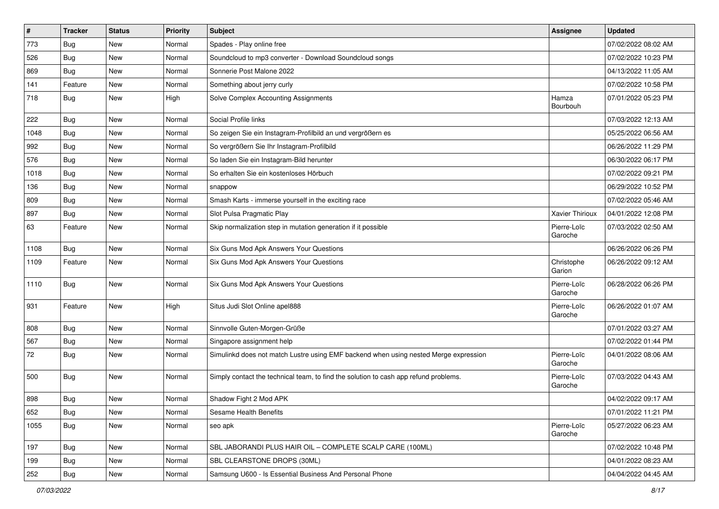| $\pmb{\#}$ | <b>Tracker</b> | <b>Status</b> | <b>Priority</b> | <b>Subject</b>                                                                       | Assignee               | <b>Updated</b>      |
|------------|----------------|---------------|-----------------|--------------------------------------------------------------------------------------|------------------------|---------------------|
| 773        | Bug            | New           | Normal          | Spades - Play online free                                                            |                        | 07/02/2022 08:02 AM |
| 526        | <b>Bug</b>     | <b>New</b>    | Normal          | Soundcloud to mp3 converter - Download Soundcloud songs                              |                        | 07/02/2022 10:23 PM |
| 869        | Bug            | New           | Normal          | Sonnerie Post Malone 2022                                                            |                        | 04/13/2022 11:05 AM |
| 141        | Feature        | New           | Normal          | Something about jerry curly                                                          |                        | 07/02/2022 10:58 PM |
| 718        | Bug            | New           | High            | Solve Complex Accounting Assignments                                                 | Hamza<br>Bourbouh      | 07/01/2022 05:23 PM |
| 222        | Bug            | <b>New</b>    | Normal          | Social Profile links                                                                 |                        | 07/03/2022 12:13 AM |
| 1048       | Bug            | New           | Normal          | So zeigen Sie ein Instagram-Profilbild an und vergrößern es                          |                        | 05/25/2022 06:56 AM |
| 992        | Bug            | New           | Normal          | So vergrößern Sie Ihr Instagram-Profilbild                                           |                        | 06/26/2022 11:29 PM |
| 576        | Bug            | New           | Normal          | So laden Sie ein Instagram-Bild herunter                                             |                        | 06/30/2022 06:17 PM |
| 1018       | Bug            | New           | Normal          | So erhalten Sie ein kostenloses Hörbuch                                              |                        | 07/02/2022 09:21 PM |
| 136        | Bug            | New           | Normal          | snappow                                                                              |                        | 06/29/2022 10:52 PM |
| 809        | Bug            | New           | Normal          | Smash Karts - immerse yourself in the exciting race                                  |                        | 07/02/2022 05:46 AM |
| 897        | Bug            | New           | Normal          | Slot Pulsa Pragmatic Play                                                            | Xavier Thirioux        | 04/01/2022 12:08 PM |
| 63         | Feature        | New           | Normal          | Skip normalization step in mutation generation if it possible                        | Pierre-Loïc<br>Garoche | 07/03/2022 02:50 AM |
| 1108       | Bug            | New           | Normal          | Six Guns Mod Apk Answers Your Questions                                              |                        | 06/26/2022 06:26 PM |
| 1109       | Feature        | New           | Normal          | Six Guns Mod Apk Answers Your Questions                                              | Christophe<br>Garion   | 06/26/2022 09:12 AM |
| 1110       | Bug            | New           | Normal          | Six Guns Mod Apk Answers Your Questions                                              | Pierre-Loïc<br>Garoche | 06/28/2022 06:26 PM |
| 931        | Feature        | New           | High            | Situs Judi Slot Online apel888                                                       | Pierre-Loïc<br>Garoche | 06/26/2022 01:07 AM |
| 808        | Bug            | New           | Normal          | Sinnvolle Guten-Morgen-Grüße                                                         |                        | 07/01/2022 03:27 AM |
| 567        | <b>Bug</b>     | New           | Normal          | Singapore assignment help                                                            |                        | 07/02/2022 01:44 PM |
| 72         | Bug            | New           | Normal          | Simulinkd does not match Lustre using EMF backend when using nested Merge expression | Pierre-Loïc<br>Garoche | 04/01/2022 08:06 AM |
| 500        | Bug            | New           | Normal          | Simply contact the technical team, to find the solution to cash app refund problems. | Pierre-Loïc<br>Garoche | 07/03/2022 04:43 AM |
| 898        | Bug            | New           | Normal          | Shadow Fight 2 Mod APK                                                               |                        | 04/02/2022 09:17 AM |
| 652        | Bug            | New           | Normal          | Sesame Health Benefits                                                               |                        | 07/01/2022 11:21 PM |
| 1055       | Bug            | New           | Normal          | seo apk                                                                              | Pierre-Loïc<br>Garoche | 05/27/2022 06:23 AM |
| 197        | <b>Bug</b>     | New           | Normal          | SBL JABORANDI PLUS HAIR OIL - COMPLETE SCALP CARE (100ML)                            |                        | 07/02/2022 10:48 PM |
| 199        | Bug            | New           | Normal          | SBL CLEARSTONE DROPS (30ML)                                                          |                        | 04/01/2022 08:23 AM |
| 252        | Bug            | New           | Normal          | Samsung U600 - Is Essential Business And Personal Phone                              |                        | 04/04/2022 04:45 AM |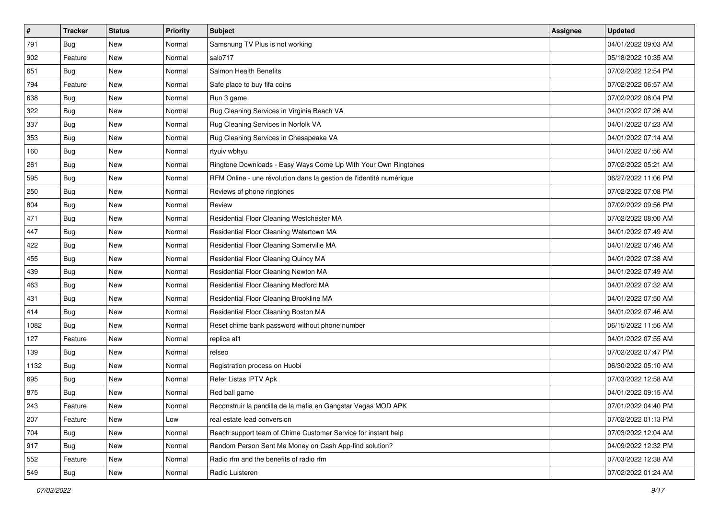| $\sharp$ | <b>Tracker</b> | <b>Status</b> | <b>Priority</b> | Subject                                                             | Assignee | <b>Updated</b>      |
|----------|----------------|---------------|-----------------|---------------------------------------------------------------------|----------|---------------------|
| 791      | Bug            | New           | Normal          | Samsnung TV Plus is not working                                     |          | 04/01/2022 09:03 AM |
| 902      | Feature        | New           | Normal          | salo717                                                             |          | 05/18/2022 10:35 AM |
| 651      | <b>Bug</b>     | New           | Normal          | Salmon Health Benefits                                              |          | 07/02/2022 12:54 PM |
| 794      | Feature        | New           | Normal          | Safe place to buy fifa coins                                        |          | 07/02/2022 06:57 AM |
| 638      | Bug            | New           | Normal          | Run 3 game                                                          |          | 07/02/2022 06:04 PM |
| 322      | Bug            | New           | Normal          | Rug Cleaning Services in Virginia Beach VA                          |          | 04/01/2022 07:26 AM |
| 337      | Bug            | New           | Normal          | Rug Cleaning Services in Norfolk VA                                 |          | 04/01/2022 07:23 AM |
| 353      | Bug            | New           | Normal          | Rug Cleaning Services in Chesapeake VA                              |          | 04/01/2022 07:14 AM |
| 160      | Bug            | New           | Normal          | rtyuiv wbhyu                                                        |          | 04/01/2022 07:56 AM |
| 261      | Bug            | New           | Normal          | Ringtone Downloads - Easy Ways Come Up With Your Own Ringtones      |          | 07/02/2022 05:21 AM |
| 595      | Bug            | New           | Normal          | RFM Online - une révolution dans la gestion de l'identité numérique |          | 06/27/2022 11:06 PM |
| 250      | Bug            | New           | Normal          | Reviews of phone ringtones                                          |          | 07/02/2022 07:08 PM |
| 804      | Bug            | New           | Normal          | Review                                                              |          | 07/02/2022 09:56 PM |
| 471      | Bug            | New           | Normal          | Residential Floor Cleaning Westchester MA                           |          | 07/02/2022 08:00 AM |
| 447      | Bug            | New           | Normal          | Residential Floor Cleaning Watertown MA                             |          | 04/01/2022 07:49 AM |
| 422      | Bug            | New           | Normal          | Residential Floor Cleaning Somerville MA                            |          | 04/01/2022 07:46 AM |
| 455      | Bug            | New           | Normal          | Residential Floor Cleaning Quincy MA                                |          | 04/01/2022 07:38 AM |
| 439      | Bug            | New           | Normal          | Residential Floor Cleaning Newton MA                                |          | 04/01/2022 07:49 AM |
| 463      | <b>Bug</b>     | New           | Normal          | Residential Floor Cleaning Medford MA                               |          | 04/01/2022 07:32 AM |
| 431      | Bug            | New           | Normal          | Residential Floor Cleaning Brookline MA                             |          | 04/01/2022 07:50 AM |
| 414      | Bug            | New           | Normal          | Residential Floor Cleaning Boston MA                                |          | 04/01/2022 07:46 AM |
| 1082     | Bug            | New           | Normal          | Reset chime bank password without phone number                      |          | 06/15/2022 11:56 AM |
| 127      | Feature        | New           | Normal          | replica af1                                                         |          | 04/01/2022 07:55 AM |
| 139      | Bug            | New           | Normal          | relseo                                                              |          | 07/02/2022 07:47 PM |
| 1132     | Bug            | New           | Normal          | Registration process on Huobi                                       |          | 06/30/2022 05:10 AM |
| 695      | Bug            | New           | Normal          | Refer Listas IPTV Apk                                               |          | 07/03/2022 12:58 AM |
| 875      | Bug            | New           | Normal          | Red ball game                                                       |          | 04/01/2022 09:15 AM |
| 243      | Feature        | New           | Normal          | Reconstruir la pandilla de la mafia en Gangstar Vegas MOD APK       |          | 07/01/2022 04:40 PM |
| 207      | Feature        | New           | Low             | real estate lead conversion                                         |          | 07/02/2022 01:13 PM |
| 704      | Bug            | New           | Normal          | Reach support team of Chime Customer Service for instant help       |          | 07/03/2022 12:04 AM |
| 917      | Bug            | New           | Normal          | Random Person Sent Me Money on Cash App-find solution?              |          | 04/09/2022 12:32 PM |
| 552      | Feature        | New           | Normal          | Radio rfm and the benefits of radio rfm                             |          | 07/03/2022 12:38 AM |
| 549      | Bug            | New           | Normal          | Radio Luisteren                                                     |          | 07/02/2022 01:24 AM |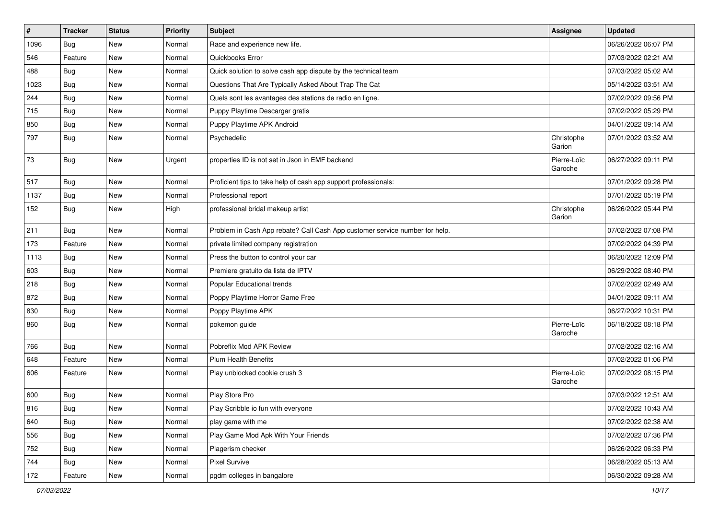| $\sharp$ | <b>Tracker</b> | <b>Status</b> | Priority | <b>Subject</b>                                                              | <b>Assignee</b>        | <b>Updated</b>      |
|----------|----------------|---------------|----------|-----------------------------------------------------------------------------|------------------------|---------------------|
| 1096     | Bug            | New           | Normal   | Race and experience new life.                                               |                        | 06/26/2022 06:07 PM |
| 546      | Feature        | New           | Normal   | Quickbooks Error                                                            |                        | 07/03/2022 02:21 AM |
| 488      | Bug            | New           | Normal   | Quick solution to solve cash app dispute by the technical team              |                        | 07/03/2022 05:02 AM |
| 1023     | Bug            | New           | Normal   | Questions That Are Typically Asked About Trap The Cat                       |                        | 05/14/2022 03:51 AM |
| 244      | Bug            | New           | Normal   | Quels sont les avantages des stations de radio en ligne.                    |                        | 07/02/2022 09:56 PM |
| 715      | Bug            | New           | Normal   | Puppy Playtime Descargar gratis                                             |                        | 07/02/2022 05:29 PM |
| 850      | Bug            | New           | Normal   | Puppy Playtime APK Android                                                  |                        | 04/01/2022 09:14 AM |
| 797      | Bug            | New           | Normal   | Psychedelic                                                                 | Christophe<br>Garion   | 07/01/2022 03:52 AM |
| 73       | Bug            | New           | Urgent   | properties ID is not set in Json in EMF backend                             | Pierre-Loïc<br>Garoche | 06/27/2022 09:11 PM |
| 517      | Bug            | <b>New</b>    | Normal   | Proficient tips to take help of cash app support professionals:             |                        | 07/01/2022 09:28 PM |
| 1137     | Bug            | New           | Normal   | Professional report                                                         |                        | 07/01/2022 05:19 PM |
| 152      | Bug            | New           | High     | professional bridal makeup artist                                           | Christophe<br>Garion   | 06/26/2022 05:44 PM |
| 211      | Bug            | New           | Normal   | Problem in Cash App rebate? Call Cash App customer service number for help. |                        | 07/02/2022 07:08 PM |
| 173      | Feature        | New           | Normal   | private limited company registration                                        |                        | 07/02/2022 04:39 PM |
| 1113     | Bug            | New           | Normal   | Press the button to control your car                                        |                        | 06/20/2022 12:09 PM |
| 603      | Bug            | New           | Normal   | Premiere gratuito da lista de IPTV                                          |                        | 06/29/2022 08:40 PM |
| 218      | Bug            | New           | Normal   | Popular Educational trends                                                  |                        | 07/02/2022 02:49 AM |
| 872      | Bug            | New           | Normal   | Poppy Playtime Horror Game Free                                             |                        | 04/01/2022 09:11 AM |
| 830      | Bug            | New           | Normal   | Poppy Playtime APK                                                          |                        | 06/27/2022 10:31 PM |
| 860      | Bug            | New           | Normal   | pokemon guide                                                               | Pierre-Loïc<br>Garoche | 06/18/2022 08:18 PM |
| 766      | Bug            | New           | Normal   | Pobreflix Mod APK Review                                                    |                        | 07/02/2022 02:16 AM |
| 648      | Feature        | New           | Normal   | <b>Plum Health Benefits</b>                                                 |                        | 07/02/2022 01:06 PM |
| 606      | Feature        | New           | Normal   | Play unblocked cookie crush 3                                               | Pierre-Loïc<br>Garoche | 07/02/2022 08:15 PM |
| 600      | Bug            | New           | Normal   | Play Store Pro                                                              |                        | 07/03/2022 12:51 AM |
| 816      | Bug            | New           | Normal   | Play Scribble io fun with everyone                                          |                        | 07/02/2022 10:43 AM |
| 640      | Bug            | New           | Normal   | play game with me                                                           |                        | 07/02/2022 02:38 AM |
| 556      | <b>Bug</b>     | New           | Normal   | Play Game Mod Apk With Your Friends                                         |                        | 07/02/2022 07:36 PM |
| 752      | Bug            | New           | Normal   | Plagerism checker                                                           |                        | 06/26/2022 06:33 PM |
| 744      | <b>Bug</b>     | New           | Normal   | Pixel Survive                                                               |                        | 06/28/2022 05:13 AM |
| 172      | Feature        | New           | Normal   | pgdm colleges in bangalore                                                  |                        | 06/30/2022 09:28 AM |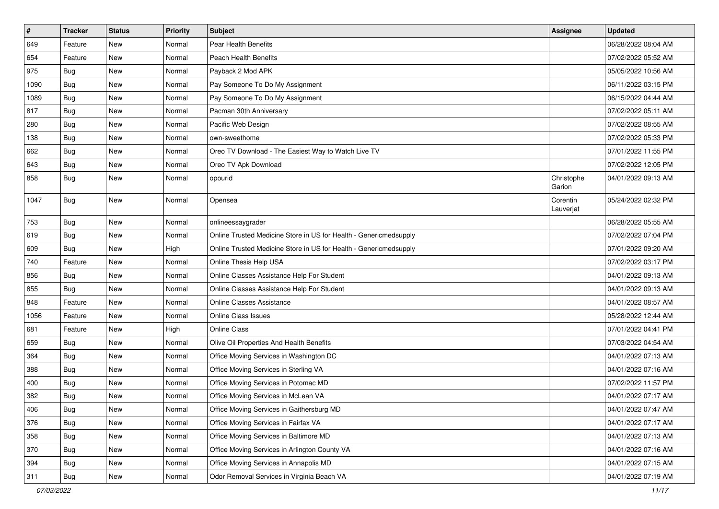| $\pmb{\#}$ | <b>Tracker</b> | <b>Status</b> | <b>Priority</b> | <b>Subject</b>                                                    | Assignee              | <b>Updated</b>      |
|------------|----------------|---------------|-----------------|-------------------------------------------------------------------|-----------------------|---------------------|
| 649        | Feature        | New           | Normal          | Pear Health Benefits                                              |                       | 06/28/2022 08:04 AM |
| 654        | Feature        | New           | Normal          | <b>Peach Health Benefits</b>                                      |                       | 07/02/2022 05:52 AM |
| 975        | <b>Bug</b>     | New           | Normal          | Payback 2 Mod APK                                                 |                       | 05/05/2022 10:56 AM |
| 1090       | Bug            | New           | Normal          | Pay Someone To Do My Assignment                                   |                       | 06/11/2022 03:15 PM |
| 1089       | Bug            | <b>New</b>    | Normal          | Pay Someone To Do My Assignment                                   |                       | 06/15/2022 04:44 AM |
| 817        | <b>Bug</b>     | New           | Normal          | Pacman 30th Anniversary                                           |                       | 07/02/2022 05:11 AM |
| 280        | Bug            | <b>New</b>    | Normal          | Pacific Web Design                                                |                       | 07/02/2022 08:55 AM |
| 138        | Bug            | <b>New</b>    | Normal          | own-sweethome                                                     |                       | 07/02/2022 05:33 PM |
| 662        | <b>Bug</b>     | <b>New</b>    | Normal          | Oreo TV Download - The Easiest Way to Watch Live TV               |                       | 07/01/2022 11:55 PM |
| 643        | <b>Bug</b>     | <b>New</b>    | Normal          | Oreo TV Apk Download                                              |                       | 07/02/2022 12:05 PM |
| 858        | Bug            | New           | Normal          | opourid                                                           | Christophe<br>Garion  | 04/01/2022 09:13 AM |
| 1047       | Bug            | <b>New</b>    | Normal          | Opensea                                                           | Corentin<br>Lauverjat | 05/24/2022 02:32 PM |
| 753        | <b>Bug</b>     | <b>New</b>    | Normal          | onlineessaygrader                                                 |                       | 06/28/2022 05:55 AM |
| 619        | <b>Bug</b>     | <b>New</b>    | Normal          | Online Trusted Medicine Store in US for Health - Genericmedsupply |                       | 07/02/2022 07:04 PM |
| 609        | <b>Bug</b>     | <b>New</b>    | High            | Online Trusted Medicine Store in US for Health - Genericmedsupply |                       | 07/01/2022 09:20 AM |
| 740        | Feature        | <b>New</b>    | Normal          | Online Thesis Help USA                                            |                       | 07/02/2022 03:17 PM |
| 856        | <b>Bug</b>     | New           | Normal          | Online Classes Assistance Help For Student                        |                       | 04/01/2022 09:13 AM |
| 855        | Bug            | <b>New</b>    | Normal          | Online Classes Assistance Help For Student                        |                       | 04/01/2022 09:13 AM |
| 848        | Feature        | <b>New</b>    | Normal          | Online Classes Assistance                                         |                       | 04/01/2022 08:57 AM |
| 1056       | Feature        | <b>New</b>    | Normal          | <b>Online Class Issues</b>                                        |                       | 05/28/2022 12:44 AM |
| 681        | Feature        | New           | High            | Online Class                                                      |                       | 07/01/2022 04:41 PM |
| 659        | Bug            | New           | Normal          | Olive Oil Properties And Health Benefits                          |                       | 07/03/2022 04:54 AM |
| 364        | Bug            | <b>New</b>    | Normal          | Office Moving Services in Washington DC                           |                       | 04/01/2022 07:13 AM |
| 388        | <b>Bug</b>     | <b>New</b>    | Normal          | Office Moving Services in Sterling VA                             |                       | 04/01/2022 07:16 AM |
| 400        | Bug            | New           | Normal          | Office Moving Services in Potomac MD                              |                       | 07/02/2022 11:57 PM |
| 382        | Bug            | New           | Normal          | Office Moving Services in McLean VA                               |                       | 04/01/2022 07:17 AM |
| 406        | Bug            | New           | Normal          | Office Moving Services in Gaithersburg MD                         |                       | 04/01/2022 07:47 AM |
| 376        | Bug            | New           | Normal          | Office Moving Services in Fairfax VA                              |                       | 04/01/2022 07:17 AM |
| 358        | Bug            | New           | Normal          | Office Moving Services in Baltimore MD                            |                       | 04/01/2022 07:13 AM |
| 370        | Bug            | New           | Normal          | Office Moving Services in Arlington County VA                     |                       | 04/01/2022 07:16 AM |
| 394        | Bug            | New           | Normal          | Office Moving Services in Annapolis MD                            |                       | 04/01/2022 07:15 AM |
| 311        | <b>Bug</b>     | New           | Normal          | Odor Removal Services in Virginia Beach VA                        |                       | 04/01/2022 07:19 AM |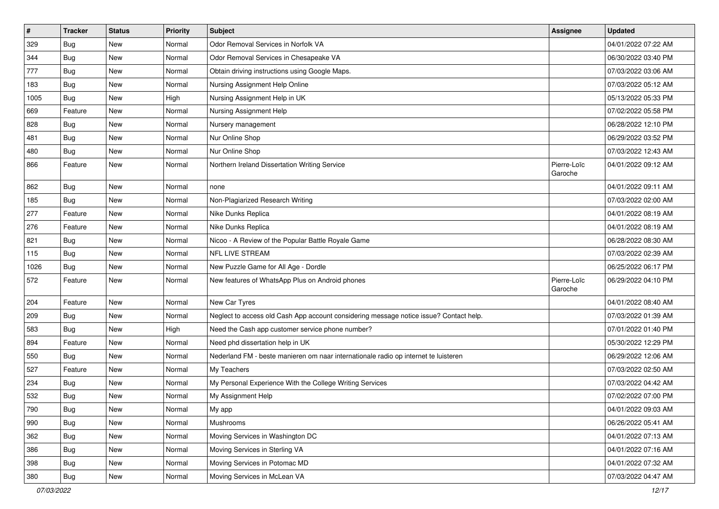| $\pmb{\#}$ | <b>Tracker</b> | <b>Status</b> | <b>Priority</b> | <b>Subject</b>                                                                         | Assignee               | <b>Updated</b>      |
|------------|----------------|---------------|-----------------|----------------------------------------------------------------------------------------|------------------------|---------------------|
| 329        | Bug            | New           | Normal          | Odor Removal Services in Norfolk VA                                                    |                        | 04/01/2022 07:22 AM |
| 344        | Bug            | <b>New</b>    | Normal          | Odor Removal Services in Chesapeake VA                                                 |                        | 06/30/2022 03:40 PM |
| 777        | <b>Bug</b>     | New           | Normal          | Obtain driving instructions using Google Maps.                                         |                        | 07/03/2022 03:06 AM |
| 183        | Bug            | <b>New</b>    | Normal          | Nursing Assignment Help Online                                                         |                        | 07/03/2022 05:12 AM |
| 1005       | Bug            | <b>New</b>    | High            | Nursing Assignment Help in UK                                                          |                        | 05/13/2022 05:33 PM |
| 669        | Feature        | New           | Normal          | Nursing Assignment Help                                                                |                        | 07/02/2022 05:58 PM |
| 828        | <b>Bug</b>     | <b>New</b>    | Normal          | Nursery management                                                                     |                        | 06/28/2022 12:10 PM |
| 481        | Bug            | New           | Normal          | Nur Online Shop                                                                        |                        | 06/29/2022 03:52 PM |
| 480        | Bug            | <b>New</b>    | Normal          | Nur Online Shop                                                                        |                        | 07/03/2022 12:43 AM |
| 866        | Feature        | <b>New</b>    | Normal          | Northern Ireland Dissertation Writing Service                                          | Pierre-Loïc<br>Garoche | 04/01/2022 09:12 AM |
| 862        | <b>Bug</b>     | <b>New</b>    | Normal          | none                                                                                   |                        | 04/01/2022 09:11 AM |
| 185        | Bug            | <b>New</b>    | Normal          | Non-Plagiarized Research Writing                                                       |                        | 07/03/2022 02:00 AM |
| 277        | Feature        | <b>New</b>    | Normal          | Nike Dunks Replica                                                                     |                        | 04/01/2022 08:19 AM |
| 276        | Feature        | <b>New</b>    | Normal          | Nike Dunks Replica                                                                     |                        | 04/01/2022 08:19 AM |
| 821        | Bug            | New           | Normal          | Nicoo - A Review of the Popular Battle Royale Game                                     |                        | 06/28/2022 08:30 AM |
| 115        | <b>Bug</b>     | New           | Normal          | NFL LIVE STREAM                                                                        |                        | 07/03/2022 02:39 AM |
| 1026       | Bug            | <b>New</b>    | Normal          | New Puzzle Game for All Age - Dordle                                                   |                        | 06/25/2022 06:17 PM |
| 572        | Feature        | <b>New</b>    | Normal          | New features of WhatsApp Plus on Android phones                                        | Pierre-Loïc<br>Garoche | 06/29/2022 04:10 PM |
| 204        | Feature        | <b>New</b>    | Normal          | New Car Tyres                                                                          |                        | 04/01/2022 08:40 AM |
| 209        | <b>Bug</b>     | New           | Normal          | Neglect to access old Cash App account considering message notice issue? Contact help. |                        | 07/03/2022 01:39 AM |
| 583        | Bug            | New           | High            | Need the Cash app customer service phone number?                                       |                        | 07/01/2022 01:40 PM |
| 894        | Feature        | New           | Normal          | Need phd dissertation help in UK                                                       |                        | 05/30/2022 12:29 PM |
| 550        | Bug            | New           | Normal          | Nederland FM - beste manieren om naar internationale radio op internet te luisteren    |                        | 06/29/2022 12:06 AM |
| 527        | Feature        | <b>New</b>    | Normal          | My Teachers                                                                            |                        | 07/03/2022 02:50 AM |
| 234        | Bug            | New           | Normal          | My Personal Experience With the College Writing Services                               |                        | 07/03/2022 04:42 AM |
| 532        | Bug            | New           | Normal          | My Assignment Help                                                                     |                        | 07/02/2022 07:00 PM |
| 790        | Bug            | New           | Normal          | My app                                                                                 |                        | 04/01/2022 09:03 AM |
| 990        | Bug            | New           | Normal          | Mushrooms                                                                              |                        | 06/26/2022 05:41 AM |
| 362        | Bug            | New           | Normal          | Moving Services in Washington DC                                                       |                        | 04/01/2022 07:13 AM |
| 386        | Bug            | New           | Normal          | Moving Services in Sterling VA                                                         |                        | 04/01/2022 07:16 AM |
| 398        | Bug            | New           | Normal          | Moving Services in Potomac MD                                                          |                        | 04/01/2022 07:32 AM |
| 380        | Bug            | New           | Normal          | Moving Services in McLean VA                                                           |                        | 07/03/2022 04:47 AM |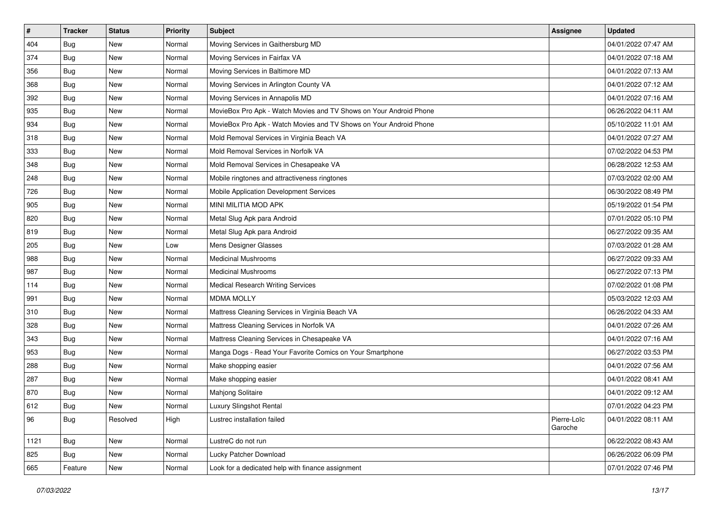| #    | <b>Tracker</b> | <b>Status</b> | Priority | <b>Subject</b>                                                     | Assignee               | <b>Updated</b>      |
|------|----------------|---------------|----------|--------------------------------------------------------------------|------------------------|---------------------|
| 404  | Bug            | New           | Normal   | Moving Services in Gaithersburg MD                                 |                        | 04/01/2022 07:47 AM |
| 374  | Bug            | <b>New</b>    | Normal   | Moving Services in Fairfax VA                                      |                        | 04/01/2022 07:18 AM |
| 356  | Bug            | New           | Normal   | Moving Services in Baltimore MD                                    |                        | 04/01/2022 07:13 AM |
| 368  | Bug            | New           | Normal   | Moving Services in Arlington County VA                             |                        | 04/01/2022 07:12 AM |
| 392  | Bug            | New           | Normal   | Moving Services in Annapolis MD                                    |                        | 04/01/2022 07:16 AM |
| 935  | Bug            | New           | Normal   | MovieBox Pro Apk - Watch Movies and TV Shows on Your Android Phone |                        | 06/26/2022 04:11 AM |
| 934  | Bug            | New           | Normal   | MovieBox Pro Apk - Watch Movies and TV Shows on Your Android Phone |                        | 05/10/2022 11:01 AM |
| 318  | Bug            | New           | Normal   | Mold Removal Services in Virginia Beach VA                         |                        | 04/01/2022 07:27 AM |
| 333  | Bug            | New           | Normal   | Mold Removal Services in Norfolk VA                                |                        | 07/02/2022 04:53 PM |
| 348  | Bug            | New           | Normal   | Mold Removal Services in Chesapeake VA                             |                        | 06/28/2022 12:53 AM |
| 248  | Bug            | New           | Normal   | Mobile ringtones and attractiveness ringtones                      |                        | 07/03/2022 02:00 AM |
| 726  | Bug            | New           | Normal   | Mobile Application Development Services                            |                        | 06/30/2022 08:49 PM |
| 905  | Bug            | New           | Normal   | MINI MILITIA MOD APK                                               |                        | 05/19/2022 01:54 PM |
| 820  | Bug            | New           | Normal   | Metal Slug Apk para Android                                        |                        | 07/01/2022 05:10 PM |
| 819  | <b>Bug</b>     | New           | Normal   | Metal Slug Apk para Android                                        |                        | 06/27/2022 09:35 AM |
| 205  | Bug            | New           | Low      | Mens Designer Glasses                                              |                        | 07/03/2022 01:28 AM |
| 988  | Bug            | New           | Normal   | <b>Medicinal Mushrooms</b>                                         |                        | 06/27/2022 09:33 AM |
| 987  | Bug            | New           | Normal   | <b>Medicinal Mushrooms</b>                                         |                        | 06/27/2022 07:13 PM |
| 114  | Bug            | New           | Normal   | <b>Medical Research Writing Services</b>                           |                        | 07/02/2022 01:08 PM |
| 991  | Bug            | <b>New</b>    | Normal   | <b>MDMA MOLLY</b>                                                  |                        | 05/03/2022 12:03 AM |
| 310  | Bug            | New           | Normal   | Mattress Cleaning Services in Virginia Beach VA                    |                        | 06/26/2022 04:33 AM |
| 328  | Bug            | New           | Normal   | Mattress Cleaning Services in Norfolk VA                           |                        | 04/01/2022 07:26 AM |
| 343  | Bug            | New           | Normal   | Mattress Cleaning Services in Chesapeake VA                        |                        | 04/01/2022 07:16 AM |
| 953  | Bug            | New           | Normal   | Manga Dogs - Read Your Favorite Comics on Your Smartphone          |                        | 06/27/2022 03:53 PM |
| 288  | Bug            | New           | Normal   | Make shopping easier                                               |                        | 04/01/2022 07:56 AM |
| 287  | Bug            | New           | Normal   | Make shopping easier                                               |                        | 04/01/2022 08:41 AM |
| 870  | Bug            | New           | Normal   | Mahjong Solitaire                                                  |                        | 04/01/2022 09:12 AM |
| 612  | <b>Bug</b>     | New           | Normal   | Luxury Slingshot Rental                                            |                        | 07/01/2022 04:23 PM |
| 96   | Bug            | Resolved      | High     | Lustrec installation failed                                        | Pierre-Loïc<br>Garoche | 04/01/2022 08:11 AM |
| 1121 | Bug            | New           | Normal   | LustreC do not run                                                 |                        | 06/22/2022 08:43 AM |
| 825  | <b>Bug</b>     | New           | Normal   | Lucky Patcher Download                                             |                        | 06/26/2022 06:09 PM |
| 665  | Feature        | New           | Normal   | Look for a dedicated help with finance assignment                  |                        | 07/01/2022 07:46 PM |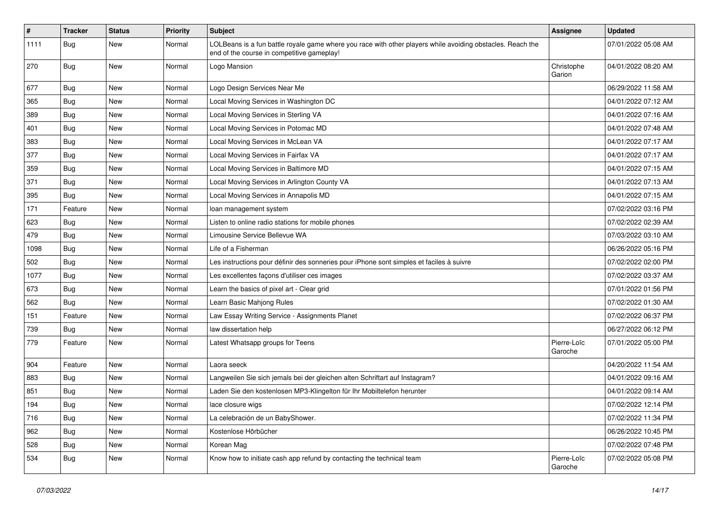| $\vert$ # | <b>Tracker</b> | <b>Status</b> | <b>Priority</b> | Subject                                                                                                                                                  | Assignee               | <b>Updated</b>      |
|-----------|----------------|---------------|-----------------|----------------------------------------------------------------------------------------------------------------------------------------------------------|------------------------|---------------------|
| 1111      | <b>Bug</b>     | New           | Normal          | LOLBeans is a fun battle royale game where you race with other players while avoiding obstacles. Reach the<br>end of the course in competitive gameplay! |                        | 07/01/2022 05:08 AM |
| 270       | Bug            | New           | Normal          | Logo Mansion                                                                                                                                             | Christophe<br>Garion   | 04/01/2022 08:20 AM |
| 677       | Bug            | <b>New</b>    | Normal          | Logo Design Services Near Me                                                                                                                             |                        | 06/29/2022 11:58 AM |
| 365       | <b>Bug</b>     | New           | Normal          | Local Moving Services in Washington DC                                                                                                                   |                        | 04/01/2022 07:12 AM |
| 389       | Bug            | New           | Normal          | Local Moving Services in Sterling VA                                                                                                                     |                        | 04/01/2022 07:16 AM |
| 401       | <b>Bug</b>     | New           | Normal          | Local Moving Services in Potomac MD                                                                                                                      |                        | 04/01/2022 07:48 AM |
| 383       | Bug            | New           | Normal          | Local Moving Services in McLean VA                                                                                                                       |                        | 04/01/2022 07:17 AM |
| 377       | Bug            | New           | Normal          | Local Moving Services in Fairfax VA                                                                                                                      |                        | 04/01/2022 07:17 AM |
| 359       | Bug            | New           | Normal          | Local Moving Services in Baltimore MD                                                                                                                    |                        | 04/01/2022 07:15 AM |
| 371       | <b>Bug</b>     | New           | Normal          | Local Moving Services in Arlington County VA                                                                                                             |                        | 04/01/2022 07:13 AM |
| 395       | Bug            | <b>New</b>    | Normal          | Local Moving Services in Annapolis MD                                                                                                                    |                        | 04/01/2022 07:15 AM |
| 171       | Feature        | New           | Normal          | loan management system                                                                                                                                   |                        | 07/02/2022 03:16 PM |
| 623       | Bug            | New           | Normal          | Listen to online radio stations for mobile phones                                                                                                        |                        | 07/02/2022 02:39 AM |
| 479       | Bug            | New           | Normal          | Limousine Service Bellevue WA                                                                                                                            |                        | 07/03/2022 03:10 AM |
| 1098      | Bug            | New           | Normal          | Life of a Fisherman                                                                                                                                      |                        | 06/26/2022 05:16 PM |
| 502       | Bug            | <b>New</b>    | Normal          | Les instructions pour définir des sonneries pour iPhone sont simples et faciles à suivre                                                                 |                        | 07/02/2022 02:00 PM |
| 1077      | Bug            | New           | Normal          | Les excellentes façons d'utiliser ces images                                                                                                             |                        | 07/02/2022 03:37 AM |
| 673       | Bug            | New           | Normal          | Learn the basics of pixel art - Clear grid                                                                                                               |                        | 07/01/2022 01:56 PM |
| 562       | <b>Bug</b>     | New           | Normal          | Learn Basic Mahjong Rules                                                                                                                                |                        | 07/02/2022 01:30 AM |
| 151       | Feature        | New           | Normal          | Law Essay Writing Service - Assignments Planet                                                                                                           |                        | 07/02/2022 06:37 PM |
| 739       | Bug            | New           | Normal          | law dissertation help                                                                                                                                    |                        | 06/27/2022 06:12 PM |
| 779       | Feature        | New           | Normal          | Latest Whatsapp groups for Teens                                                                                                                         | Pierre-Loïc<br>Garoche | 07/01/2022 05:00 PM |
| 904       | Feature        | New           | Normal          | Laora seeck                                                                                                                                              |                        | 04/20/2022 11:54 AM |
| 883       | Bug            | New           | Normal          | Langweilen Sie sich jemals bei der gleichen alten Schriftart auf Instagram?                                                                              |                        | 04/01/2022 09:16 AM |
| 851       | Bug            | New           | Normal          | Laden Sie den kostenlosen MP3-Klingelton für Ihr Mobiltelefon herunter                                                                                   |                        | 04/01/2022 09:14 AM |
| 194       | Bug            | New           | Normal          | lace closure wigs                                                                                                                                        |                        | 07/02/2022 12:14 PM |
| 716       | Bug            | New           | Normal          | La celebración de un BabyShower.                                                                                                                         |                        | 07/02/2022 11:34 PM |
| 962       | Bug            | New           | Normal          | Kostenlose Hörbücher                                                                                                                                     |                        | 06/26/2022 10:45 PM |
| 528       | Bug            | New           | Normal          | Korean Mag                                                                                                                                               |                        | 07/02/2022 07:48 PM |
| 534       | <b>Bug</b>     | New           | Normal          | Know how to initiate cash app refund by contacting the technical team                                                                                    | Pierre-Loïc<br>Garoche | 07/02/2022 05:08 PM |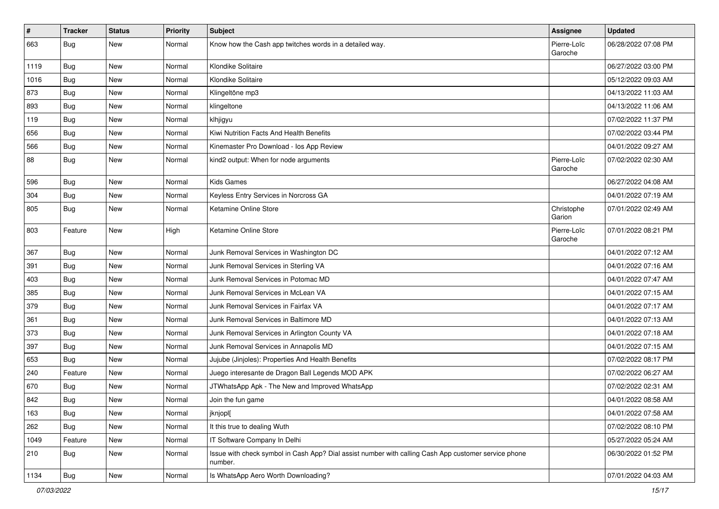| $\vert$ # | <b>Tracker</b> | <b>Status</b> | Priority | <b>Subject</b>                                                                                                  | <b>Assignee</b>        | <b>Updated</b>      |
|-----------|----------------|---------------|----------|-----------------------------------------------------------------------------------------------------------------|------------------------|---------------------|
| 663       | <b>Bug</b>     | New           | Normal   | Know how the Cash app twitches words in a detailed way.                                                         | Pierre-Loïc<br>Garoche | 06/28/2022 07:08 PM |
| 1119      | Bug            | New           | Normal   | Klondike Solitaire                                                                                              |                        | 06/27/2022 03:00 PM |
| 1016      | Bug            | New           | Normal   | Klondike Solitaire                                                                                              |                        | 05/12/2022 09:03 AM |
| 873       | Bug            | New           | Normal   | Klingeltöne mp3                                                                                                 |                        | 04/13/2022 11:03 AM |
| 893       | Bug            | New           | Normal   | klingeltone                                                                                                     |                        | 04/13/2022 11:06 AM |
| 119       | Bug            | New           | Normal   | klhjigyu                                                                                                        |                        | 07/02/2022 11:37 PM |
| 656       | Bug            | New           | Normal   | Kiwi Nutrition Facts And Health Benefits                                                                        |                        | 07/02/2022 03:44 PM |
| 566       | Bug            | New           | Normal   | Kinemaster Pro Download - los App Review                                                                        |                        | 04/01/2022 09:27 AM |
| 88        | Bug            | New           | Normal   | kind2 output: When for node arguments                                                                           | Pierre-Loïc<br>Garoche | 07/02/2022 02:30 AM |
| 596       | Bug            | <b>New</b>    | Normal   | <b>Kids Games</b>                                                                                               |                        | 06/27/2022 04:08 AM |
| 304       | Bug            | New           | Normal   | Keyless Entry Services in Norcross GA                                                                           |                        | 04/01/2022 07:19 AM |
| 805       | Bug            | New           | Normal   | Ketamine Online Store                                                                                           | Christophe<br>Garion   | 07/01/2022 02:49 AM |
| 803       | Feature        | New           | High     | Ketamine Online Store                                                                                           | Pierre-Loïc<br>Garoche | 07/01/2022 08:21 PM |
| 367       | Bug            | <b>New</b>    | Normal   | Junk Removal Services in Washington DC                                                                          |                        | 04/01/2022 07:12 AM |
| 391       | Bug            | New           | Normal   | Junk Removal Services in Sterling VA                                                                            |                        | 04/01/2022 07:16 AM |
| 403       | Bug            | New           | Normal   | Junk Removal Services in Potomac MD                                                                             |                        | 04/01/2022 07:47 AM |
| 385       | Bug            | New           | Normal   | Junk Removal Services in McLean VA                                                                              |                        | 04/01/2022 07:15 AM |
| 379       | Bug            | New           | Normal   | Junk Removal Services in Fairfax VA                                                                             |                        | 04/01/2022 07:17 AM |
| 361       | Bug            | New           | Normal   | Junk Removal Services in Baltimore MD                                                                           |                        | 04/01/2022 07:13 AM |
| 373       | Bug            | New           | Normal   | Junk Removal Services in Arlington County VA                                                                    |                        | 04/01/2022 07:18 AM |
| 397       | Bug            | New           | Normal   | Junk Removal Services in Annapolis MD                                                                           |                        | 04/01/2022 07:15 AM |
| 653       | Bug            | New           | Normal   | Jujube (Jinjoles): Properties And Health Benefits                                                               |                        | 07/02/2022 08:17 PM |
| 240       | Feature        | New           | Normal   | Juego interesante de Dragon Ball Legends MOD APK                                                                |                        | 07/02/2022 06:27 AM |
| 670       | Bug            | New           | Normal   | JTWhatsApp Apk - The New and Improved WhatsApp                                                                  |                        | 07/02/2022 02:31 AM |
| 842       | Bug            | New           | Normal   | Join the fun game                                                                                               |                        | 04/01/2022 08:58 AM |
| 163       | <b>Bug</b>     | New           | Normal   | jknjopl[                                                                                                        |                        | 04/01/2022 07:58 AM |
| 262       | Bug            | New           | Normal   | It this true to dealing Wuth                                                                                    |                        | 07/02/2022 08:10 PM |
| 1049      | Feature        | New           | Normal   | IT Software Company In Delhi                                                                                    |                        | 05/27/2022 05:24 AM |
| 210       | Bug            | New           | Normal   | Issue with check symbol in Cash App? Dial assist number with calling Cash App customer service phone<br>number. |                        | 06/30/2022 01:52 PM |
| 1134      | <b>Bug</b>     | New           | Normal   | Is WhatsApp Aero Worth Downloading?                                                                             |                        | 07/01/2022 04:03 AM |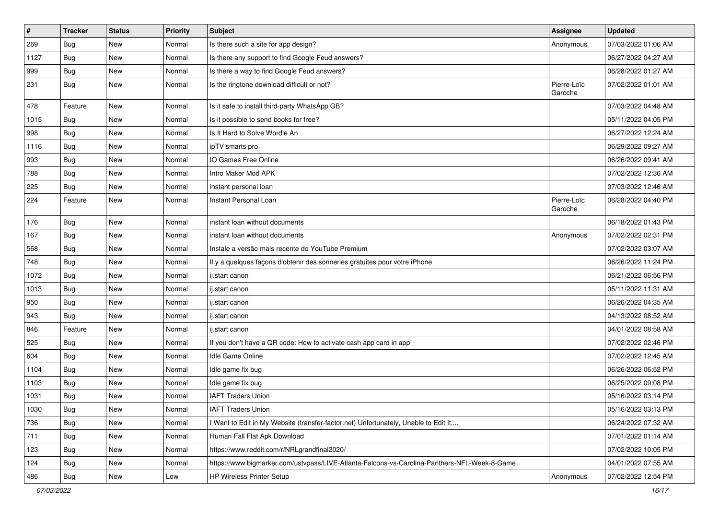| $\vert$ # | <b>Tracker</b> | <b>Status</b> | <b>Priority</b> | Subject                                                                                      | Assignee               | <b>Updated</b>      |
|-----------|----------------|---------------|-----------------|----------------------------------------------------------------------------------------------|------------------------|---------------------|
| 269       | Bug            | New           | Normal          | Is there such a site for app design?                                                         | Anonymous              | 07/03/2022 01:06 AM |
| 1127      | Bug            | <b>New</b>    | Normal          | Is there any support to find Google Feud answers?                                            |                        | 06/27/2022 04:27 AM |
| 999       | Bug            | New           | Normal          | Is there a way to find Google Feud answers?                                                  |                        | 06/28/2022 01:27 AM |
| 231       | Bug            | New           | Normal          | Is the ringtone download difficult or not?                                                   | Pierre-Loïc<br>Garoche | 07/02/2022 01:01 AM |
| 478       | Feature        | <b>New</b>    | Normal          | Is it safe to install third-party WhatsApp GB?                                               |                        | 07/03/2022 04:48 AM |
| 1015      | Bug            | New           | Normal          | Is it possible to send books for free?                                                       |                        | 05/11/2022 04:05 PM |
| 998       | Bug            | New           | Normal          | Is It Hard to Solve Wordle An                                                                |                        | 06/27/2022 12:24 AM |
| 1116      | Bug            | New           | Normal          | ipTV smarts pro                                                                              |                        | 06/29/2022 09:27 AM |
| 993       | Bug            | New           | Normal          | IO Games Free Online                                                                         |                        | 06/26/2022 09:41 AM |
| 788       | Bug            | New           | Normal          | Intro Maker Mod APK                                                                          |                        | 07/02/2022 12:36 AM |
| 225       | Bug            | New           | Normal          | instant personal loan                                                                        |                        | 07/03/2022 12:46 AM |
| 224       | Feature        | New           | Normal          | Instant Personal Loan                                                                        | Pierre-Loïc<br>Garoche | 06/28/2022 04:40 PM |
| 176       | Bug            | <b>New</b>    | Normal          | instant loan without documents                                                               |                        | 06/18/2022 01:43 PM |
| 167       | Bug            | New           | Normal          | instant loan without documents                                                               | Anonymous              | 07/02/2022 02:31 PM |
| 568       | <b>Bug</b>     | New           | Normal          | Instale a versão mais recente do YouTube Premium                                             |                        | 07/02/2022 03:07 AM |
| 748       | Bug            | New           | Normal          | Il y a quelques façons d'obtenir des sonneries gratuites pour votre iPhone                   |                        | 06/26/2022 11:24 PM |
| 1072      | Bug            | New           | Normal          | ij.start canon                                                                               |                        | 06/21/2022 06:56 PM |
| 1013      | Bug            | New           | Normal          | ij.start canon                                                                               |                        | 05/11/2022 11:31 AM |
| 950       | Bug            | New           | Normal          | ij.start canon                                                                               |                        | 06/26/2022 04:35 AM |
| 943       | Bug            | New           | Normal          | ij.start canon                                                                               |                        | 04/13/2022 08:52 AM |
| 846       | Feature        | New           | Normal          | ij.start canon                                                                               |                        | 04/01/2022 08:58 AM |
| 525       | Bug            | New           | Normal          | If you don't have a QR code: How to activate cash app card in app                            |                        | 07/02/2022 02:46 PM |
| 604       | <b>Bug</b>     | New           | Normal          | Idle Game Online                                                                             |                        | 07/02/2022 12:45 AM |
| 1104      | Bug            | New           | Normal          | Idle game fix bug                                                                            |                        | 06/26/2022 06:52 PM |
| 1103      | Bug            | New           | Normal          | Idle game fix bug                                                                            |                        | 06/25/2022 09:08 PM |
| 1031      | Bug            | New           | Normal          | <b>IAFT Traders Union</b>                                                                    |                        | 05/16/2022 03:14 PM |
| 1030      | <b>Bug</b>     | New           | Normal          | <b>IAFT Traders Union</b>                                                                    |                        | 05/16/2022 03:13 PM |
| 736       | Bug            | New           | Normal          | I Want to Edit in My Website (transfer-factor.net) Unfortunately, Unable to Edit It          |                        | 06/24/2022 07:32 AM |
| 711       | Bug            | New           | Normal          | Human Fall Flat Apk Download                                                                 |                        | 07/01/2022 01:14 AM |
| 123       | Bug            | New           | Normal          | https://www.reddit.com/r/NRLgrandfinal2020/                                                  |                        | 07/02/2022 10:05 PM |
| 124       | Bug            | New           | Normal          | https://www.bigmarker.com/ustvpass/LIVE-Atlanta-Falcons-vs-Carolina-Panthers-NFL-Week-8-Game |                        | 04/01/2022 07:55 AM |
| 486       | <b>Bug</b>     | New           | Low             | HP Wireless Printer Setup                                                                    | Anonymous              | 07/02/2022 12:54 PM |